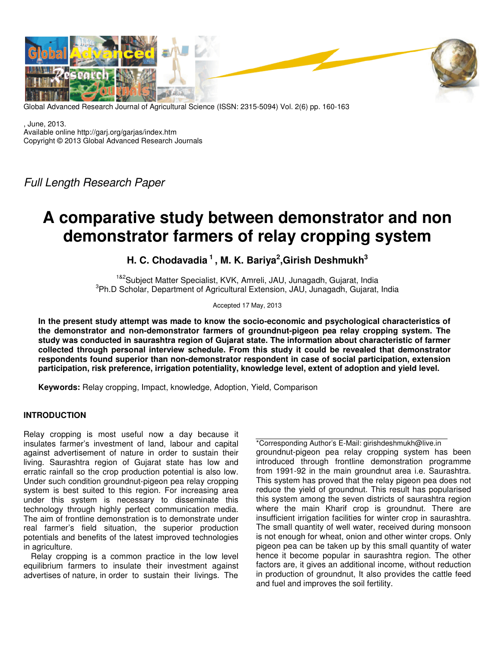

Global Advanced Research Journal of Agricultural Science (ISSN: 2315-5094) Vol. 2(6) pp. 160-163

, June, 2013. Available online http://garj.org/garjas/index.htm Copyright © 2013 Global Advanced Research Journals

Full Length Research Paper

# **A comparative study between demonstrator and non demonstrator farmers of relay cropping system**

**H. C. Chodavadia<sup>1</sup>, M. K. Bariya<sup>2</sup> ,Girish Deshmukh<sup>3</sup>**

<sup>1&2</sup>Subiect Matter Specialist, KVK, Amreli, JAU, Junagadh, Gujarat, India 3 Ph.D Scholar, Department of Agricultural Extension, JAU, Junagadh, Gujarat, India

Accepted 17 May, 2013

**In the present study attempt was made to know the socio-economic and psychological characteristics of the demonstrator and non-demonstrator farmers of groundnut-pigeon pea relay cropping system. The study was conducted in saurashtra region of Gujarat state. The information about characteristic of farmer collected through personal interview schedule. From this study it could be revealed that demonstrator respondents found superior than non-demonstrator respondent in case of social participation, extension participation, risk preference, irrigation potentiality, knowledge level, extent of adoption and yield level.** 

**Keywords:** Relay cropping, Impact, knowledge, Adoption, Yield, Comparison

## **INTRODUCTION**

Relay cropping is most useful now a day because it insulates farmer's investment of land, labour and capital against advertisement of nature in order to sustain their living. Saurashtra region of Gujarat state has low and erratic rainfall so the crop production potential is also low. Under such condition groundnut-pigeon pea relay cropping system is best suited to this region. For increasing area under this system is necessary to disseminate this technology through highly perfect communication media. The aim of frontline demonstration is to demonstrate under real farmer's field situation, the superior production potentials and benefits of the latest improved technologies in agriculture.

Relay cropping is a common practice in the low level equilibrium farmers to insulate their investment against advertises of nature, in order to sustain their livings. The

\*Corresponding Author's E-Mail: girishdeshmukh@live.in groundnut-pigeon pea relay cropping system has been introduced through frontline demonstration programme from 1991-92 in the main groundnut area i.e. Saurashtra. This system has proved that the relay pigeon pea does not reduce the yield of groundnut. This result has popularised this system among the seven districts of saurashtra region where the main Kharif crop is groundnut. There are insufficient irrigation facilities for winter crop in saurashtra. The small quantity of well water, received during monsoon is not enough for wheat, onion and other winter crops. Only pigeon pea can be taken up by this small quantity of water hence it become popular in saurashtra region. The other factors are, it gives an additional income, without reduction in production of groundnut, It also provides the cattle feed and fuel and improves the soil fertility.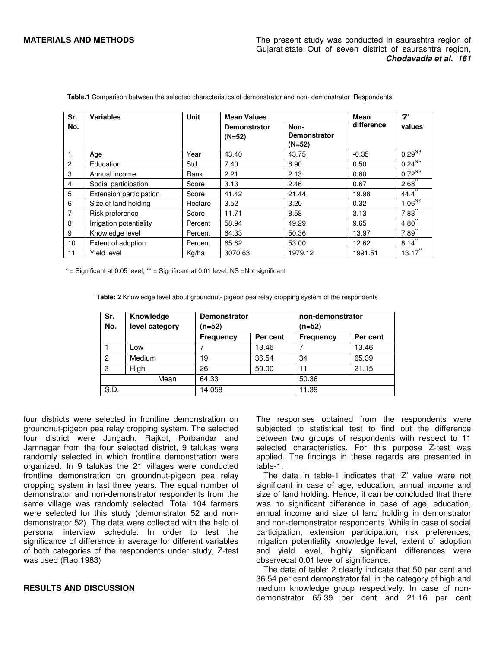| Sr.             | <b>Variables</b>        | <b>Unit</b> | <b>Mean Values</b>              | <b>Mean</b>                             | 'Z'        |                      |
|-----------------|-------------------------|-------------|---------------------------------|-----------------------------------------|------------|----------------------|
| No.             |                         |             | <b>Demonstrator</b><br>$(N=52)$ | Non-<br><b>Demonstrator</b><br>$(N=52)$ | difference | values               |
| $\overline{1}$  | Age                     | Year        | 43.40                           | 43.75                                   | $-0.35$    | $0.29^{N_S}$         |
| $\overline{2}$  | Education               | Std.        | 7.40                            | 6.90                                    | 0.50       | 0.24 <sup>NS</sup>   |
| 3               | Annual income           | Rank        | 2.21                            | 2.13                                    | 0.80       | 0.72 <sup>NS</sup>   |
| 4               | Social participation    | Score       | 3.13                            | 2.46                                    | 0.67       | 2.68                 |
| 5               | Extension participation | Score       | 41.42                           | 21.44                                   | 19.98      | $44.4$ <sup>**</sup> |
| 6               | Size of land holding    | Hectare     | 3.52                            | 3.20                                    | 0.32       | 1.06 <sup>NS</sup>   |
| $\overline{7}$  | Risk preference         | Score       | 11.71                           | 8.58                                    | 3.13       | $7.83$ <sup>**</sup> |
| 8               | Irrigation potentiality | Percent     | 58.94                           | 49.29                                   | 9.65       | $4.80^{\degree}$     |
| 9               | Knowledge level         | Percent     | 64.33                           | 50.36                                   | 13.97      | 7.89                 |
| 10 <sup>°</sup> | Extent of adoption      | Percent     | 65.62                           | 53.00                                   | 12.62      | 8.14                 |
| 11              | Yield level             | Kg/ha       | 3070.63                         | 1979.12                                 | 1991.51    | 13.17                |

 **Table.1** Comparison between the selected characteristics of demonstrator and non- demonstrator Respondents

 $*$  = Significant at 0.05 level,  $**$  = Significant at 0.01 level, NS =Not significant

 **Table: 2** Knowledge level about groundnut- pigeon pea relay cropping system of the respondents

| Sr.<br>No.     | Knowledge<br>level category | <b>Demonstrator</b><br>(n=52) |          | non-demonstrator<br>(n=52) |          |
|----------------|-----------------------------|-------------------------------|----------|----------------------------|----------|
|                |                             | <b>Frequency</b>              | Per cent | <b>Frequency</b>           | Per cent |
|                | Low                         |                               | 13.46    |                            | 13.46    |
| $\overline{2}$ | <b>Medium</b>               | 19                            | 36.54    | 34                         | 65.39    |
| 3              | High                        | 26                            | 50.00    | 11                         | 21.15    |
| Mean           |                             | 64.33                         |          | 50.36                      |          |
| S.D.           |                             | 14.058                        |          | 11.39                      |          |

four districts were selected in frontline demonstration on groundnut-pigeon pea relay cropping system. The selected four district were Jungadh, Rajkot, Porbandar and Jamnagar from the four selected district, 9 talukas were randomly selected in which frontline demonstration were organized. In 9 talukas the 21 villages were conducted frontline demonstration on groundnut-pigeon pea relay cropping system in last three years. The equal number of demonstrator and non-demonstrator respondents from the same village was randomly selected. Total 104 farmers were selected for this study (demonstrator 52 and nondemonstrator 52). The data were collected with the help of personal interview schedule. In order to test the significance of difference in average for different variables of both categories of the respondents under study, Z-test was used (Rao,1983)

### **RESULTS AND DISCUSSION**

The responses obtained from the respondents were subjected to statistical test to find out the difference between two groups of respondents with respect to 11 selected characteristics. For this purpose Z-test was applied. The findings in these regards are presented in table-1.

The data in table-1 indicates that 'Z' value were not significant in case of age, education, annual income and size of land holding. Hence, it can be concluded that there was no significant difference in case of age, education, annual income and size of land holding in demonstrator and non-demonstrator respondents. While in case of social participation, extension participation, risk preferences, irrigation potentiality knowledge level, extent of adoption and yield level, highly significant differences were observedat 0.01 level of significance.

The data of table: 2 clearly indicate that 50 per cent and 36.54 per cent demonstrator fall in the category of high and medium knowledge group respectively. In case of nondemonstrator 65.39 per cent and 21.16 per cent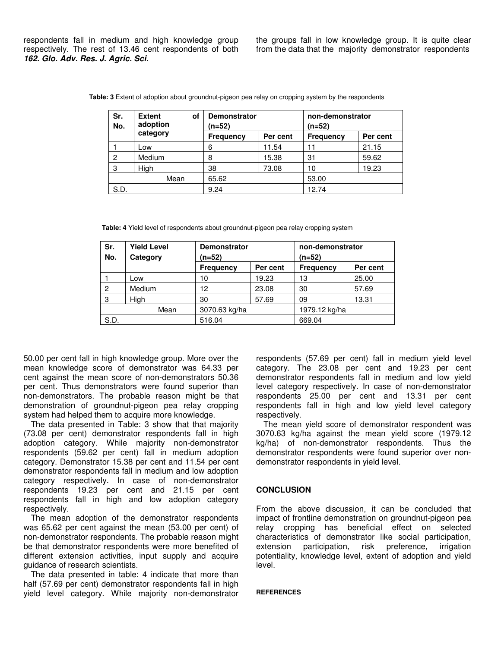respondents fall in medium and high knowledge group respectively. The rest of 13.46 cent respondents of both **162. Glo. Adv. Res. J. Agric. Sci.** 

the groups fall in low knowledge group. It is quite clear from the data that the majority demonstrator respondents

| Sr.<br>No. | <b>Extent</b><br>οf<br>adoption | <b>Demonstrator</b><br>(n=52) |          | non-demonstrator<br>(n=52) |          |
|------------|---------------------------------|-------------------------------|----------|----------------------------|----------|
|            | category                        | <b>Frequency</b>              | Per cent | <b>Frequency</b>           | Per cent |
|            | Low                             | 6                             | 11.54    | 11                         | 21.15    |
| 2          | Medium                          | 8                             | 15.38    | 31                         | 59.62    |
| 3          | High                            | 38                            | 73.08    | 10                         | 19.23    |
| Mean       |                                 | 65.62                         |          | 53.00                      |          |
| S.D.       |                                 | 9.24                          |          | 12.74                      |          |

 **Table: 3** Extent of adoption about groundnut-pigeon pea relay on cropping system by the respondents

 **Table: 4** Yield level of respondents about groundnut-pigeon pea relay cropping system

| Sr.<br>No. | <b>Yield Level</b><br>Category | <b>Demonstrator</b><br>(n=52) |          | non-demonstrator<br>(n=52) |          |
|------------|--------------------------------|-------------------------------|----------|----------------------------|----------|
|            |                                | <b>Frequency</b>              | Per cent | <b>Frequency</b>           | Per cent |
|            | Low                            | 10                            | 19.23    | 13                         | 25.00    |
| 2          | Medium                         | 12                            | 23.08    | 30                         | 57.69    |
| 3          | High                           | 30                            | 57.69    | 09                         | 13.31    |
| Mean       |                                | 3070.63 kg/ha                 |          | 1979.12 kg/ha              |          |
| S.D.       |                                | 516.04                        |          | 669.04                     |          |

50.00 per cent fall in high knowledge group. More over the mean knowledge score of demonstrator was 64.33 per cent against the mean score of non-demonstrators 50.36 per cent. Thus demonstrators were found superior than non-demonstrators. The probable reason might be that demonstration of groundnut-pigeon pea relay cropping system had helped them to acquire more knowledge.

The data presented in Table: 3 show that that majority (73.08 per cent) demonstrator respondents fall in high adoption category. While majority non-demonstrator respondents (59.62 per cent) fall in medium adoption category. Demonstrator 15.38 per cent and 11.54 per cent demonstrator respondents fall in medium and low adoption category respectively. In case of non-demonstrator respondents 19.23 per cent and 21.15 per cent respondents fall in high and low adoption category respectively.

The mean adoption of the demonstrator respondents was 65.62 per cent against the mean (53.00 per cent) of non-demonstrator respondents. The probable reason might be that demonstrator respondents were more benefited of different extension activities, input supply and acquire guidance of research scientists.

The data presented in table: 4 indicate that more than half (57.69 per cent) demonstrator respondents fall in high yield level category. While majority non-demonstrator respondents (57.69 per cent) fall in medium yield level category. The 23.08 per cent and 19.23 per cent demonstrator respondents fall in medium and low yield level category respectively. In case of non-demonstrator respondents 25.00 per cent and 13.31 per cent respondents fall in high and low yield level category respectively.

The mean yield score of demonstrator respondent was 3070.63 kg/ha against the mean yield score (1979.12 kg/ha) of non-demonstrator respondents. Thus the demonstrator respondents were found superior over nondemonstrator respondents in yield level.

### **CONCLUSION**

From the above discussion, it can be concluded that impact of frontline demonstration on groundnut-pigeon pea relay cropping has beneficial effect on selected characteristics of demonstrator like social participation, extension participation, risk preference, irrigation potentiality, knowledge level, extent of adoption and yield level.

#### **REFERENCES**